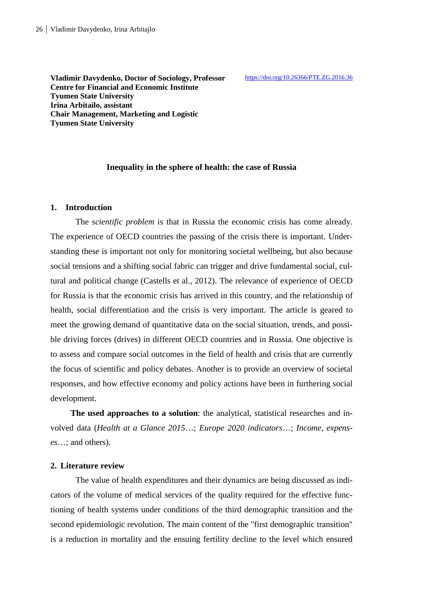**Vladimir Davydenko, Doctor of Sociology, Professor Centre for Financial and Economic Institute Tyumen State University Irina Arbitailo, assistant Chair Management, Marketing and Logistic Tyumen State University** 

#### **Inequality in the sphere of health: the case of Russia**

#### **1. Introduction**

The *scientific problem* is that in Russia the economic crisis has come already. The experience of OECD countries the passing of the crisis there is important. Understanding these is important not only for monitoring societal wellbeing, but also because social tensions and a shifting social fabric can trigger and drive fundamental social, cultural and political change (Castells et al., 2012). The relevance of experience of OECD for Russia is that the economic crisis has arrived in this country, and the relationship of health, social differentiation and the crisis is very important. The article is geared to meet the growing demand of quantitative data on the social situation, trends, and possible driving forces (drives) in different OECD countries and in Russia. One objective is to assess and compare social outcomes in the field of health and crisis that are currently the focus of scientific and policy debates. Another is to provide an overview of societal responses, and how effective economy and policy actions have been in furthering social development.

**The used approaches to a solution**: the analytical, statistical researches and involved data (*Health at a Glance 2015*…; *Europe 2020 indicators*…; *Income, expenses*…; and others).

## **2. Literature review**

The value of health expenditures and their dynamics are being discussed as indicators of the volume of medical services of the quality required for the effective functioning of health systems under conditions of the third demographic transition and the second epidemiologic revolution. The main content of the "first demographic transition" is a reduction in mortality and the ensuing fertility decline to the level which ensured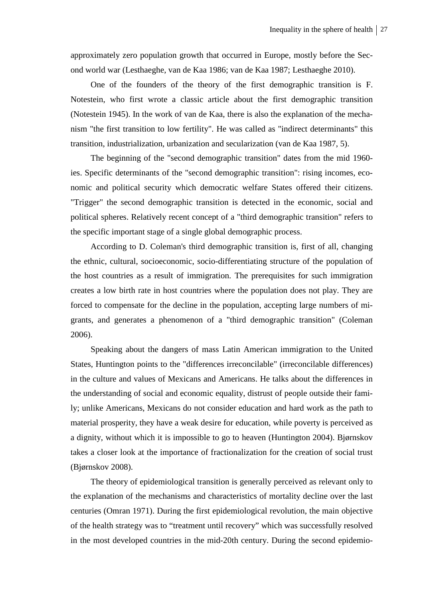approximately zero population growth that occurred in Europe, mostly before the Second world war (Lesthaeghe, van de Kaa 1986; van de Kaa 1987; Lesthaeghe 2010).

One of the founders of the theory of the first demographic transition is F. Notestein, who first wrote a classic article about the first demographic transition (Notestein 1945). In the work of van de Kaa, there is also the explanation of the mechanism "the first transition to low fertility". He was called as "indirect determinants" this transition, industrialization, urbanization and secularization (van de Kaa 1987, 5).

The beginning of the "second demographic transition" dates from the mid 1960 ies. Specific determinants of the "second demographic transition": rising incomes, economic and political security which democratic welfare States offered their citizens. "Trigger" the second demographic transition is detected in the economic, social and political spheres. Relatively recent concept of a "third demographic transition" refers to the specific important stage of a single global demographic process.

According to D. Coleman's third demographic transition is, first of all, changing the ethnic, cultural, socioeconomic, socio-differentiating structure of the population of the host countries as a result of immigration. The prerequisites for such immigration creates a low birth rate in host countries where the population does not play. They are forced to compensate for the decline in the population, accepting large numbers of migrants, and generates a phenomenon of a "third demographic transition" (Coleman 2006).

Speaking about the dangers of mass Latin American immigration to the United States, Huntington points to the "differences irreconcilable" (irreconcilable differences) in the culture and values of Mexicans and Americans. He talks about the differences in the understanding of social and economic equality, distrust of people outside their family; unlike Americans, Mexicans do not consider education and hard work as the path to material prosperity, they have a weak desire for education, while poverty is perceived as a dignity, without which it is impossible to go to heaven (Huntington 2004). Bjørnskov takes a closer look at the importance of fractionalization for the creation of social trust (Bjørnskov 2008).

The theory of epidemiological transition is generally perceived as relevant only to the explanation of the mechanisms and characteristics of mortality decline over the last centuries (Omran 1971). During the first epidemiological revolution, the main objective of the health strategy was to "treatment until recovery" which was successfully resolved in the most developed countries in the mid-20th century. During the second epidemio-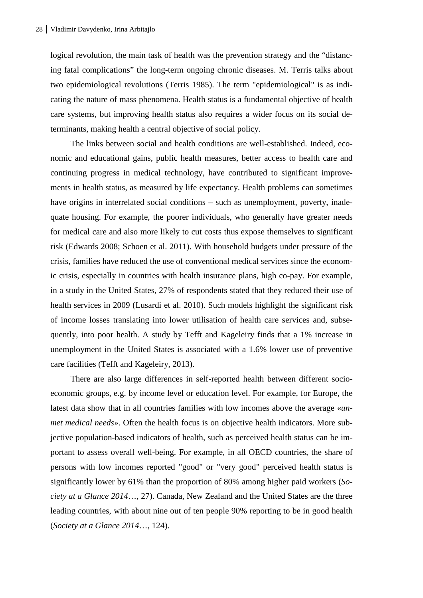logical revolution, the main task of health was the prevention strategy and the "distancing fatal complications" the long-term ongoing chronic diseases. M. Terris talks about two epidemiological revolutions (Terris 1985). The term "epidemiological" is as indicating the nature of mass phenomena. Health status is a fundamental objective of health care systems, but improving health status also requires a wider focus on its social determinants, making health a central objective of social policy.

The links between social and health conditions are well-established. Indeed, economic and educational gains, public health measures, better access to health care and continuing progress in medical technology, have contributed to significant improvements in health status, as measured by life expectancy. Health problems can sometimes have origins in interrelated social conditions – such as unemployment, poverty, inadequate housing. For example, the poorer individuals, who generally have greater needs for medical care and also more likely to cut costs thus expose themselves to significant risk (Edwards 2008; Schoen et al. 2011). With household budgets under pressure of the crisis, families have reduced the use of conventional medical services since the economic crisis, especially in countries with health insurance plans, high co-pay. For example, in a study in the United States, 27% of respondents stated that they reduced their use of health services in 2009 (Lusardi et al. 2010). Such models highlight the significant risk of income losses translating into lower utilisation of health care services and, subsequently, into poor health. A study by Tefft and Kageleiry finds that a 1% increase in unemployment in the United States is associated with a 1.6% lower use of preventive care facilities (Tefft and Kageleiry, 2013).

There are also large differences in self-reported health between different socioeconomic groups, e.g. by income level or education level. For example, for Europe, the latest data show that in all countries families with low incomes above the average «*unmet medical needs*». Often the health focus is on objective health indicators. More subjective population-based indicators of health, such as perceived health status can be important to assess overall well-being. For example, in all OECD countries, the share of persons with low incomes reported "good" or "very good" perceived health status is significantly lower by 61% than the proportion of 80% among higher paid workers (*Society at a Glance 2014*…, 27). Canada, New Zealand and the United States are the three leading countries, with about nine out of ten people 90% reporting to be in good health (*Society at a Glance 2014*…, 124).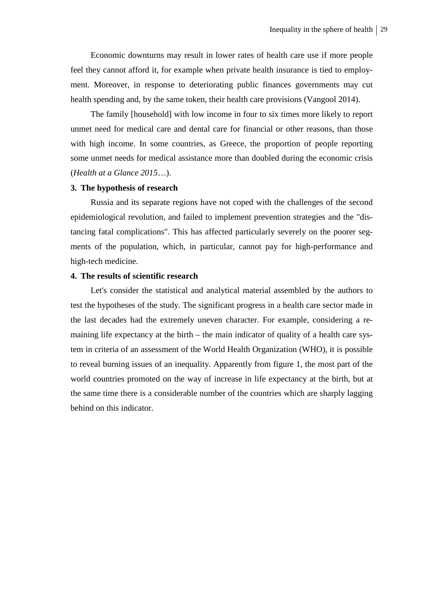Economic downturns may result in lower rates of health care use if more people feel they cannot afford it, for example when private health insurance is tied to employment. Moreover, in response to deteriorating public finances governments may cut health spending and, by the same token, their health care provisions (Vangool 2014).

The family [household] with low income in four to six times more likely to report unmet need for medical care and dental care for financial or other reasons, than those with high income. In some countries, as Greece, the proportion of people reporting some unmet needs for medical assistance more than doubled during the economic crisis (*Health at a Glance 2015*…).

#### **3. The hypothesis of research**

Russia and its separate regions have not coped with the challenges of the second epidemiological revolution, and failed to implement prevention strategies and the "distancing fatal complications". This has affected particularly severely on the poorer segments of the population, which, in particular, cannot pay for high-performance and high-tech medicine.

## **4. The results of scientific research**

Let's consider the statistical and analytical material assembled by the authors to test the hypotheses of the study. The significant progress in a health care sector made in the last decades had the extremely uneven character. For example, considering a remaining life expectancy at the birth – the main indicator of quality of a health care system in criteria of an assessment of the World Health Organization (WHO), it is possible to reveal burning issues of an inequality. Apparently from figure 1, the most part of the world countries promoted on the way of increase in life expectancy at the birth, but at the same time there is a considerable number of the countries which are sharply lagging behind on this indicator.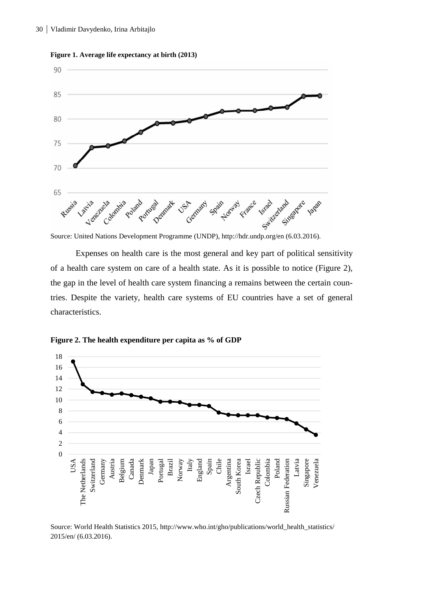

**Figure 1. Average life expectancy at birth (2013)** 

Source: United Nations Development Programme (UNDP), http://hdr.undp.org/en (6.03.2016).

Expenses on health care is the most general and key part of political sensitivity of a health care system on care of a health state. As it is possible to notice (Figure 2), the gap in the level of health care system financing a remains between the certain countries. Despite the variety, health care systems of EU countries have a set of general characteristics.



**Figure 2. The health expenditure per capita as % of GDP**

Source: World Health Statistics 2015, http://www.who.int/gho/publications/world\_health\_statistics/ 2015/en/ (6.03.2016).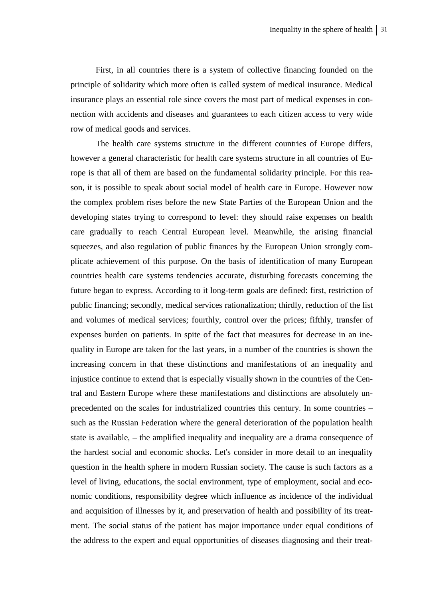First, in all countries there is a system of collective financing founded on the principle of solidarity which more often is called system of medical insurance. Medical insurance plays an essential role since covers the most part of medical expenses in connection with accidents and diseases and guarantees to each citizen access to very wide row of medical goods and services.

The health care systems structure in the different countries of Europe differs, however a general characteristic for health care systems structure in all countries of Europe is that all of them are based on the fundamental solidarity principle. For this reason, it is possible to speak about social model of health care in Europe. However now the complex problem rises before the new State Parties of the European Union and the developing states trying to correspond to level: they should raise expenses on health care gradually to reach Central European level. Meanwhile, the arising financial squeezes, and also regulation of public finances by the European Union strongly complicate achievement of this purpose. On the basis of identification of many European countries health care systems tendencies accurate, disturbing forecasts concerning the future began to express. According to it long-term goals are defined: first, restriction of public financing; secondly, medical services rationalization; thirdly, reduction of the list and volumes of medical services; fourthly, control over the prices; fifthly, transfer of expenses burden on patients. In spite of the fact that measures for decrease in an inequality in Europe are taken for the last years, in a number of the countries is shown the increasing concern in that these distinctions and manifestations of an inequality and injustice continue to extend that is especially visually shown in the countries of the Central and Eastern Europe where these manifestations and distinctions are absolutely unprecedented on the scales for industrialized countries this century. In some countries – such as the Russian Federation where the general deterioration of the population health state is available, – the amplified inequality and inequality are a drama consequence of the hardest social and economic shocks. Let's consider in more detail to an inequality question in the health sphere in modern Russian society. The cause is such factors as a level of living, educations, the social environment, type of employment, social and economic conditions, responsibility degree which influence as incidence of the individual and acquisition of illnesses by it, and preservation of health and possibility of its treatment. The social status of the patient has major importance under equal conditions of the address to the expert and equal opportunities of diseases diagnosing and their treat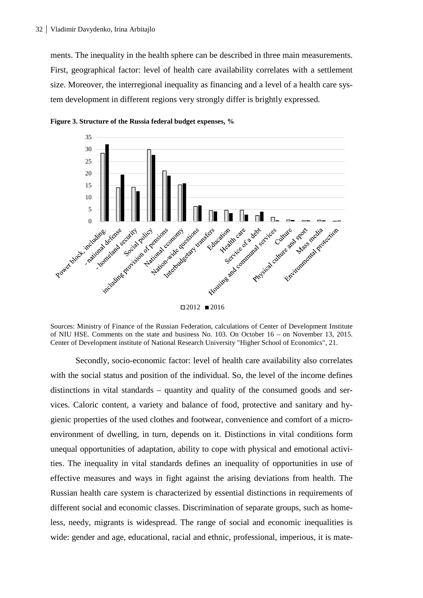ments. The inequality in the health sphere can be described in three main measurements. First, geographical factor: level of health care availability correlates with a settlement size. Moreover, the interregional inequality as financing and a level of a health care system development in different regions very strongly differ is brightly expressed.





Sources: Ministry of Finance of the Russian Federation, calculations of Center of Development Institute of NIU HSE. Comments on the state and business No. 103. On October 16 – on November 13, 2015. Center of Development institute of National Research University "Higher School of Economics", 21.

Secondly, socio-economic factor: level of health care availability also correlates with the social status and position of the individual. So, the level of the income defines distinctions in vital standards – quantity and quality of the consumed goods and services. Caloric content, a variety and balance of food, protective and sanitary and hygienic properties of the used clothes and footwear, convenience and comfort of a microenvironment of dwelling, in turn, depends on it. Distinctions in vital conditions form unequal opportunities of adaptation, ability to cope with physical and emotional activities. The inequality in vital standards defines an inequality of opportunities in use of effective measures and ways in fight against the arising deviations from health. The Russian health care system is characterized by essential distinctions in requirements of different social and economic classes. Discrimination of separate groups, such as homeless, needy, migrants is widespread. The range of social and economic inequalities is wide: gender and age, educational, racial and ethnic, professional, imperious, it is mate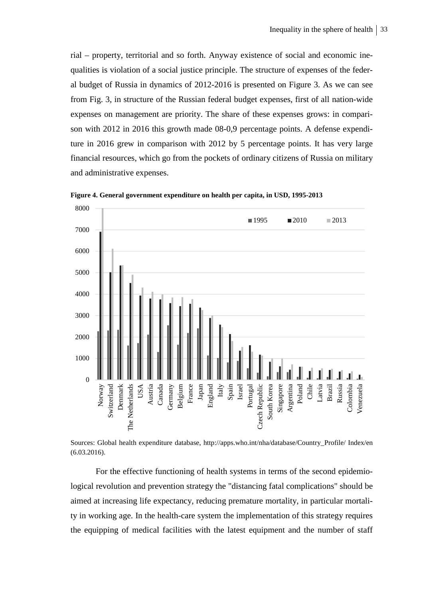rial – property, territorial and so forth. Anyway existence of social and economic inequalities is violation of a social justice principle. The structure of expenses of the federal budget of Russia in dynamics of 2012-2016 is presented on Figure 3. As we can see from Fig. 3, in structure of the Russian federal budget expenses, first of all nation-wide expenses on management are priority. The share of these expenses grows: in comparison with 2012 in 2016 this growth made 08-0,9 percentage points. A defense expenditure in 2016 grew in comparison with 2012 by 5 percentage points. It has very large financial resources, which go from the pockets of ordinary citizens of Russia on military and administrative expenses.



**Figure 4. General government expenditure on health per capita, in USD, 1995-2013** 

Sources: Global health expenditure database, http://apps.who.int/nha/database/Country\_Profile/ Index/en (6.03.2016).

For the effective functioning of health systems in terms of the second epidemiological revolution and prevention strategy the "distancing fatal complications" should be aimed at increasing life expectancy, reducing premature mortality, in particular mortality in working age. In the health-care system the implementation of this strategy requires the equipping of medical facilities with the latest equipment and the number of staff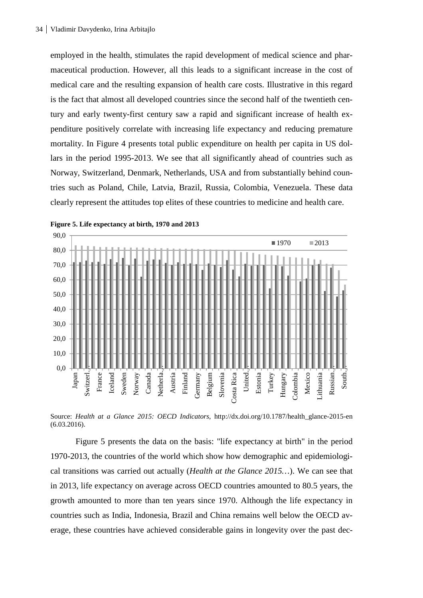employed in the health, stimulates the rapid development of medical science and pharmaceutical production. However, all this leads to a significant increase in the cost of medical care and the resulting expansion of health care costs. Illustrative in this regard is the fact that almost all developed countries since the second half of the twentieth century and early twenty-first century saw a rapid and significant increase of health expenditure positively correlate with increasing life expectancy and reducing premature mortality. In Figure 4 presents total public expenditure on health per capita in US dollars in the period 1995-2013. We see that all significantly ahead of countries such as Norway, Switzerland, Denmark, Netherlands, USA and from substantially behind countries such as Poland, Chile, Latvia, Brazil, Russia, Colombia, Venezuela. These data clearly represent the attitudes top elites of these countries to medicine and health care.



**Figure 5. Life expectancy at birth, 1970 and 2013**

Source: *Health at a Glance 2015: OECD Indicators*, http://dx.doi.org/10.1787/health\_glance-2015-en (6.03.2016).

Figure 5 presents the data on the basis: "life expectancy at birth" in the period 1970-2013, the countries of the world which show how demographic and epidemiological transitions was carried out actually (*Health at the Glance 2015…*). We can see that in 2013, life expectancy on average across OECD countries amounted to 80.5 years, the growth amounted to more than ten years since 1970. Although the life expectancy in countries such as India, Indonesia, Brazil and China remains well below the OECD average, these countries have achieved considerable gains in longevity over the past dec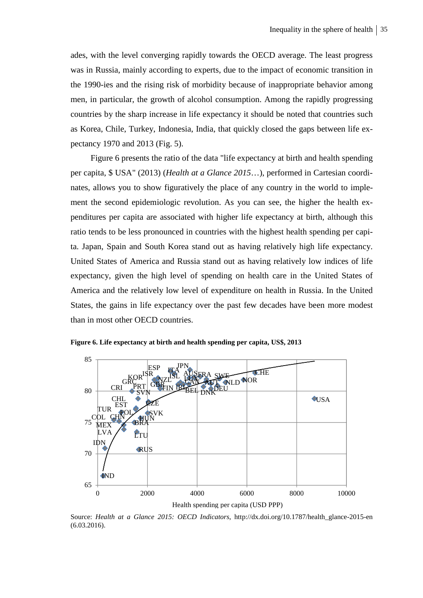ades, with the level converging rapidly towards the OECD average. The least progress was in Russia, mainly according to experts, due to the impact of economic transition in the 1990-ies and the rising risk of morbidity because of inappropriate behavior among men, in particular, the growth of alcohol consumption. Among the rapidly progressing countries by the sharp increase in life expectancy it should be noted that countries such as Korea, Chile, Turkey, Indonesia, India, that quickly closed the gaps between life expectancy 1970 and 2013 (Fig. 5).

Figure 6 presents the ratio of the data "life expectancy at birth and health spending per capita, \$ USA" (2013) (*Health at a Glance 2015*…), performed in Cartesian coordinates, allows you to show figuratively the place of any country in the world to implement the second epidemiologic revolution. As you can see, the higher the health expenditures per capita are associated with higher life expectancy at birth, although this ratio tends to be less pronounced in countries with the highest health spending per capita. Japan, Spain and South Korea stand out as having relatively high life expectancy. United States of America and Russia stand out as having relatively low indices of life expectancy, given the high level of spending on health care in the United States of America and the relatively low level of expenditure on health in Russia. In the United States, the gains in life expectancy over the past few decades have been more modest than in most other OECD countries.



**Figure 6. Life expectancy at birth and health spending per capita, US\$, 2013**

Source: *Health at a Glance 2015: OECD Indicators*, http://dx.doi.org/10.1787/health\_glance-2015-en (6.03.2016).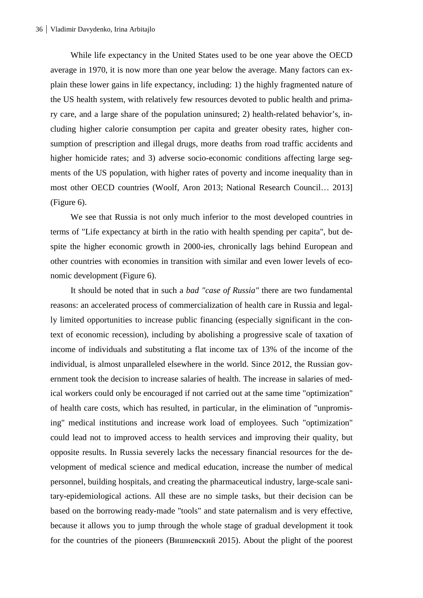While life expectancy in the United States used to be one year above the OECD average in 1970, it is now more than one year below the average. Many factors can explain these lower gains in life expectancy, including: 1) the highly fragmented nature of the US health system, with relatively few resources devoted to public health and primary care, and a large share of the population uninsured; 2) health-related behavior's, including higher calorie consumption per capita and greater obesity rates, higher consumption of prescription and illegal drugs, more deaths from road traffic accidents and higher homicide rates; and 3) adverse socio-economic conditions affecting large segments of the US population, with higher rates of poverty and income inequality than in most other OECD countries (Woolf, Aron 2013; National Research Council… 2013] (Figure 6).

We see that Russia is not only much inferior to the most developed countries in terms of "Life expectancy at birth in the ratio with health spending per capita", but despite the higher economic growth in 2000-ies, chronically lags behind European and other countries with economies in transition with similar and even lower levels of economic development (Figure 6).

It should be noted that in such a *bad "case of Russia"* there are two fundamental reasons: an accelerated process of commercialization of health care in Russia and legally limited opportunities to increase public financing (especially significant in the context of economic recession), including by abolishing a progressive scale of taxation of income of individuals and substituting a flat income tax of 13% of the income of the individual, is almost unparalleled elsewhere in the world. Since 2012, the Russian government took the decision to increase salaries of health. The increase in salaries of medical workers could only be encouraged if not carried out at the same time "optimization" of health care costs, which has resulted, in particular, in the elimination of "unpromising" medical institutions and increase work load of employees. Such "optimization" could lead not to improved access to health services and improving their quality, but opposite results. In Russia severely lacks the necessary financial resources for the development of medical science and medical education, increase the number of medical personnel, building hospitals, and creating the pharmaceutical industry, large-scale sanitary-epidemiological actions. All these are no simple tasks, but their decision can be based on the borrowing ready-made "tools" and state paternalism and is very effective, because it allows you to jump through the whole stage of gradual development it took for the countries of the pioneers (Вишневский 2015). About the plight of the poorest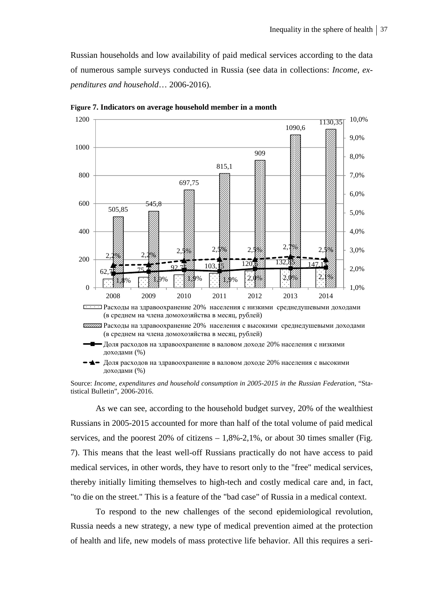Russian households and low availability of paid medical services according to the data of numerous sample surveys conducted in Russia (see data in collections: *Income, expenditures and household*… 2006-2016).



**Figure 7. Indicators on average household member in a month** 

Расходы на здравоохранение 20% населения с низкими среднедушевыми доходами (в среднем на члена домохозяйства в месяц, рублей)

Расходы на здравоохранение 20% населения с высокими среднедушевыми доходами (в среднем на члена домохозяйства в месяц, рублей)

Доля расходов на здравоохранение в валовом доходе 20% населения с низкими доходами (%)

 $\blacktriangleright$   $\blacktriangleleft$  –  $\vartriangleleft$   $\sqcap$  расходов на здравоохранение в валовом доходе 20% населения с высокими доходами (%)

Source: *Income, expenditures and household consumption in 2005-2015 in the Russian Federation*, "Statistical Bulletin", 2006-2016.

As we can see, according to the household budget survey, 20% of the wealthiest Russians in 2005-2015 accounted for more than half of the total volume of paid medical services, and the poorest  $20\%$  of citizens  $-1,8\%$ -2,1%, or about 30 times smaller (Fig. 7). This means that the least well-off Russians practically do not have access to paid medical services, in other words, they have to resort only to the "free" medical services, thereby initially limiting themselves to high-tech and costly medical care and, in fact, "to die on the street." This is a feature of the "bad case" of Russia in a medical context.

To respond to the new challenges of the second epidemiological revolution, Russia needs a new strategy, a new type of medical prevention aimed at the protection of health and life, new models of mass protective life behavior. All this requires a seri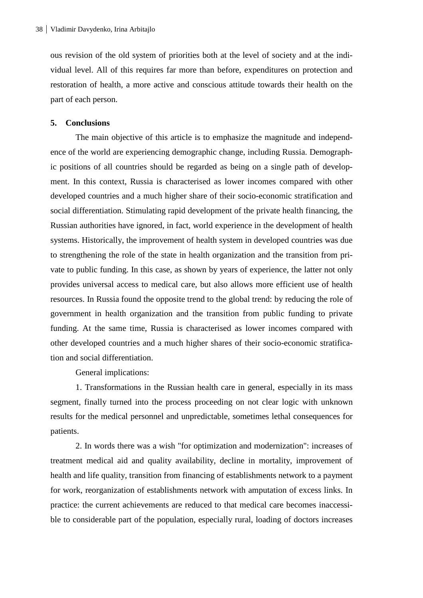ous revision of the old system of priorities both at the level of society and at the individual level. All of this requires far more than before, expenditures on protection and restoration of health, a more active and conscious attitude towards their health on the part of each person.

### **5. Conclusions**

The main objective of this article is to emphasize the magnitude and independence of the world are experiencing demographic change, including Russia. Demographic positions of all countries should be regarded as being on a single path of development. In this context, Russia is characterised as lower incomes compared with other developed countries and a much higher share of their socio-economic stratification and social differentiation. Stimulating rapid development of the private health financing, the Russian authorities have ignored, in fact, world experience in the development of health systems. Historically, the improvement of health system in developed countries was due to strengthening the role of the state in health organization and the transition from private to public funding. In this case, as shown by years of experience, the latter not only provides universal access to medical care, but also allows more efficient use of health resources. In Russia found the opposite trend to the global trend: by reducing the role of government in health organization and the transition from public funding to private funding. At the same time, Russia is characterised as lower incomes compared with other developed countries and a much higher shares of their socio-economic stratification and social differentiation.

General implications:

1. Transformations in the Russian health care in general, especially in its mass segment, finally turned into the process proceeding on not clear logic with unknown results for the medical personnel and unpredictable, sometimes lethal consequences for patients.

2. In words there was a wish "for optimization and modernization": increases of treatment medical aid and quality availability, decline in mortality, improvement of health and life quality, transition from financing of establishments network to a payment for work, reorganization of establishments network with amputation of excess links. In practice: the current achievements are reduced to that medical care becomes inaccessible to considerable part of the population, especially rural, loading of doctors increases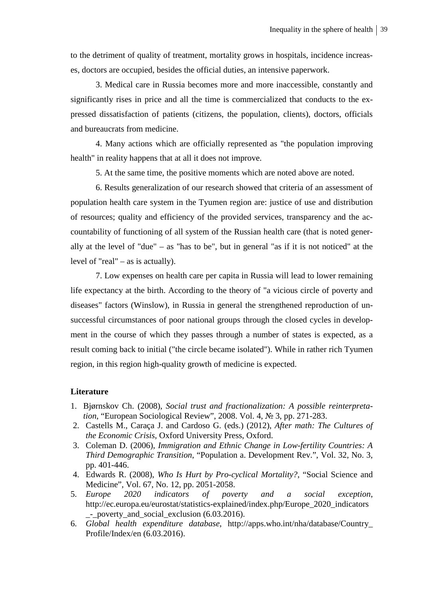to the detriment of quality of treatment, mortality grows in hospitals, incidence increases, doctors are occupied, besides the official duties, an intensive paperwork.

3. Medical care in Russia becomes more and more inaccessible, constantly and significantly rises in price and all the time is commercialized that conducts to the expressed dissatisfaction of patients (citizens, the population, clients), doctors, officials and bureaucrats from medicine.

4. Many actions which are officially represented as "the population improving health" in reality happens that at all it does not improve.

5. At the same time, the positive moments which are noted above are noted.

6. Results generalization of our research showed that criteria of an assessment of population health care system in the Tyumen region are: justice of use and distribution of resources; quality and efficiency of the provided services, transparency and the accountability of functioning of all system of the Russian health care (that is noted generally at the level of "due" – as "has to be", but in general "as if it is not noticed" at the level of "real" – as is actually).

7. Low expenses on health care per capita in Russia will lead to lower remaining life expectancy at the birth. According to the theory of "a vicious circle of poverty and diseases" factors (Winslow), in Russia in general the strengthened reproduction of unsuccessful circumstances of poor national groups through the closed cycles in development in the course of which they passes through a number of states is expected, as a result coming back to initial ("the circle became isolated"). While in rather rich Tyumen region, in this region high-quality growth of medicine is expected.

### **Literature**

- 1. Bjørnskov Ch. (2008), *Social trust and fractionalization: A possible reinterpretation*, "European Sociological Review", 2008. Vol. 4, № 3, pp. 271-283.
- 2. Castells M., Caraça J. and Cardoso G. (eds.) (2012), *After math: The Cultures of the Economic Crisis*, Oxford University Press, Oxford.
- 3. Coleman D. (2006), *Immigration and Ethnic Change in Low-fertility Countries: A Third Demographic Transition*, "Population a. Development Rev.", Vol. 32, No. 3, pp. 401-446.
- 4. Edwards R. (2008), *Who Is Hurt by Pro-cyclical Mortality?*, "Social Science and Medicine", Vol. 67, No. 12, pp. 2051-2058.
- 5. *Europe 2020 indicators of poverty and a social exception*, http://ec.europa.eu/eurostat/statistics-explained/index.php/Europe\_2020\_indicators \_-\_poverty\_and\_social\_exclusion (6.03.2016).
- 6. *Global health expenditure database*, http://apps.who.int/nha/database/Country\_ Profile/Index/en (6.03.2016).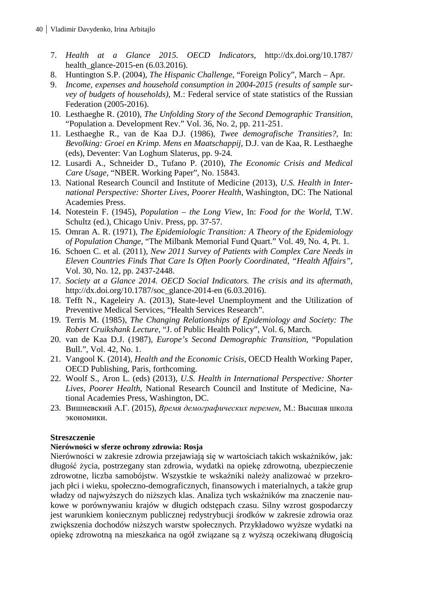- 7. *Health at a Glance 2015. OECD Indicators*, http://dx.doi.org/10.1787/ health glance-2015-en (6.03.2016).
- 8. Huntington S.P. (2004), *The Hispanic Challenge*, "Foreign Policy", March Apr.
- 9. *Income, expenses and household consumption in 2004-2015 (results of sample survey of budgets of households)*, M.: Federal service of state statistics of the Russian Federation (2005-2016).
- 10. Lesthaeghe R. (2010), *The Unfolding Story of the Second Demographic Transition*, "Population a. Development Rev." Vol. 36, No. 2, pp. 211-251.
- 11. Lesthaeghe R., van de Kaa D.J. (1986), *Twee demografische Transities?*, In: *Bevolking: Groei en Krimp. Mens en Maatschappij*, D.J. van de Kaa, R. Lesthaeghe (eds), Deventer: Van Loghum Slaterus, pp. 9-24.
- 12. Lusardi A., Schneider D., Tufano P. (2010), *The Economic Crisis and Medical Care Usage*, "NBER. Working Paper"*,* No. 15843.
- 13. National Research Council and Institute of Medicine (2013), *U.S. Health in International Perspective: Shorter Lives, Poorer Health*, Washington, DC: The National Academies Press.
- 14. Notestein F. (1945), *Population the Long View*, In: *Food for the World*, T.W. Schultz (ed.), Chicago Univ. Press, pp. 37-57.
- 15. Omran A. R. (1971), *The Epidemiologic Transition: A Theory of the Epidemiology of Population Change*, "The Milbank Memorial Fund Quart." Vol. 49, No. 4, Pt. 1.
- 16. Schoen C. et al. (2011), *New 2011 Survey of Patients with Complex Care Needs in Eleven Countries Finds That Care Is Often Poorly Coordinated*, *"Health Affairs",* Vol. 30, No. 12, pp. 2437-2448.
- 17. *Society at a Glance 2014. OECD Social Indicators. The crisis and its aftermath*, http://dx.doi.org/10.1787/soc\_glance-2014-en (6.03.2016).
- 18. Tefft N., Kageleiry A. (2013), State-level Unemployment and the Utilization of Preventive Medical Services, "Health Services Research".
- 19. Terris M. (1985), *The Changing Relationships of Epidemiology and Society: The Robert Cruikshank Lecture*, "J. of Public Health Policy", Vol. 6, March.
- 20. van de Kaa D.J. (1987), *Europe's Second Demographic Transition*, "Population Bull.", Vol. 42, No. 1.
- 21. Vangool K. (2014), *Health and the Economic Crisis*, OECD Health Working Paper, OECD Publishing, Paris, forthcoming.
- 22. Woolf S., Aron L. (eds) (2013), *U.S. Health in International Perspective: Shorter Lives, Poorer Health*, National Research Council and Institute of Medicine, National Academies Press, Washington, DC.
- 23. Вишневский А.Г. (2015), *Время демографических перемен*, М.: Высшая школа экономики.

# **Streszczenie**

## **Nierówności w sferze ochrony zdrowia: Rosja**

Nierówności w zakresie zdrowia przejawiają się w wartościach takich wskaźników, jak: długość życia, postrzegany stan zdrowia, wydatki na opiekę zdrowotną, ubezpieczenie zdrowotne, liczba samobójstw. Wszystkie te wskaźniki należy analizować w przekrojach płci i wieku, społeczno-demograficznych, finansowych i materialnych, a także grup władzy od najwyższych do niższych klas. Analiza tych wskaźników ma znaczenie naukowe w porównywaniu krajów w długich odstępach czasu. Silny wzrost gospodarczy jest warunkiem koniecznym publicznej redystrybucji środków w zakresie zdrowia oraz zwiększenia dochodów niższych warstw społecznych. Przykładowo wyższe wydatki na opiekę zdrowotną na mieszkańca na ogół związane są z wyższą oczekiwaną długością